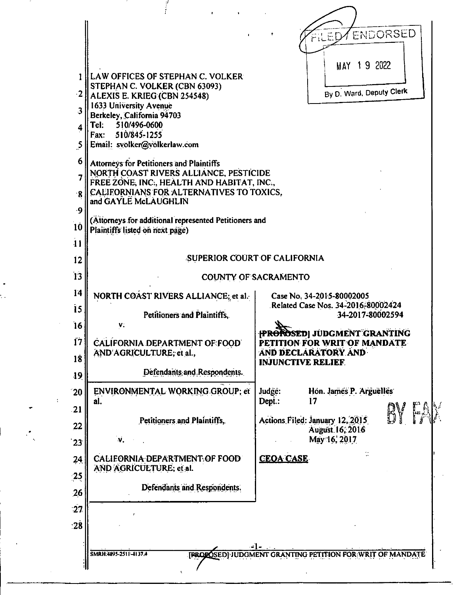|                        |                                                                                                                                                                                                                                                                                                  | <b>ENDORSED</b><br>FILED                                                                                                       |
|------------------------|--------------------------------------------------------------------------------------------------------------------------------------------------------------------------------------------------------------------------------------------------------------------------------------------------|--------------------------------------------------------------------------------------------------------------------------------|
| $\cdot 2$<br>Tel:<br>5 | LAW OFFICES OF STEPHAN C. VOLKER<br>STEPHAN C. VOLKER (CBN 63093)<br>ALEXIS E. KRIEG (CBN 254548)<br>1633 University Avenue<br>Berkeley, California 94703<br>510/496-0600<br>Fax: 510/845-1255<br>Email: svolker@volkerlaw.com                                                                   | MAY 19 2022<br>By D. Ward, Deputy Clerk                                                                                        |
|                        | Attorneys for Petitioners and Plaintiffs<br>NORTH COAST RIVERS ALLIANCE, PESTICIDE<br>FREE ZONE, INC., HEALTH AND HABITAT, INC.,<br>CALIFORNIANS FOR ALTERNATIVES TO TOXICS,<br>and GAYLE McLAUGHLIN<br>(Attorneys for additional represented Petitioners and<br>Plaintiffs listed on next page) |                                                                                                                                |
|                        | <b>SUPERIOR COURT OF CALIFORNIA</b>                                                                                                                                                                                                                                                              |                                                                                                                                |
|                        |                                                                                                                                                                                                                                                                                                  | <b>COUNTY OF SACRAMENTO</b>                                                                                                    |
|                        | NORTH COAST RIVERS ALLIANCE; et al.<br>Petitioners and Plaintiffs.                                                                                                                                                                                                                               | Case No. 34-2015-80002005<br>Related Case Nos. 34-2016-80002424<br>34-2017-80002594                                            |
| 17                     | V.<br><b>CALIFORNIA DEPARTMENT OF FOOD</b><br>AND AGRICULTURE, et al.,                                                                                                                                                                                                                           | <b>{PROROSED}</b> JUDGMENT GRANTING<br><b>PETITION FOR WRIT OF MANDATE</b><br>AND DECLARATORY AND<br><b>INJUNCTIVE RELIEF.</b> |
|                        | Defendants and Respondents.                                                                                                                                                                                                                                                                      |                                                                                                                                |
| al.                    | ENVIRONMENTAL WORKING GROUP; et                                                                                                                                                                                                                                                                  | Judge:<br>Hon. James P. Arguelles<br>Dept.:<br>17                                                                              |
|                        | Petitioners and Plaintiffs,<br>$\mathbf{v}$ .                                                                                                                                                                                                                                                    | BY FAX<br>Actions Filed: January 12, 2015<br>August 16, 2016<br>May 16, 2017                                                   |
|                        | CALIFORNIA DEPARTMENT OF FOOD<br>AND AGRICULTURE; et al.                                                                                                                                                                                                                                         | <b>CEOA CASE</b>                                                                                                               |
|                        | Defendants and Respondents.                                                                                                                                                                                                                                                                      |                                                                                                                                |
|                        |                                                                                                                                                                                                                                                                                                  |                                                                                                                                |
|                        |                                                                                                                                                                                                                                                                                                  | $-1-$                                                                                                                          |

 $\frac{1}{2}$ 

 $\cdot$  .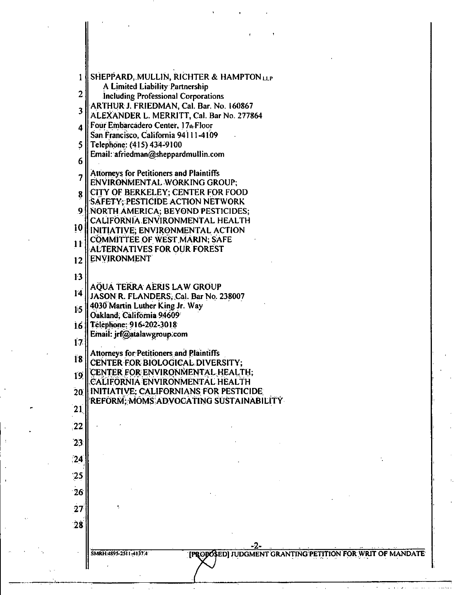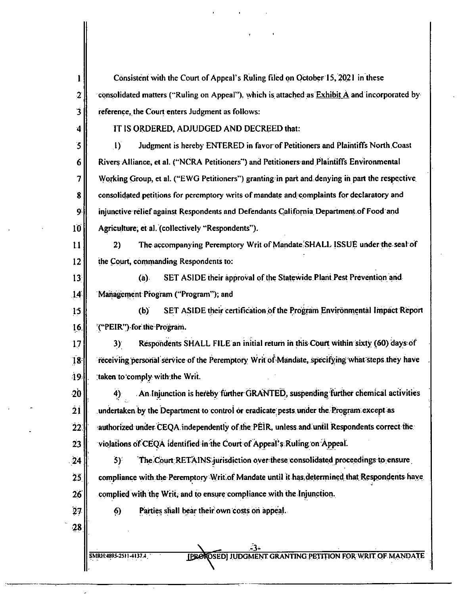| ı                     | Consistent with the Court of Appeal's Ruling filed on October 15, 2021 in these                                   |
|-----------------------|-------------------------------------------------------------------------------------------------------------------|
| $\overline{2}$        | consolidated matters ("Ruling on Appeal"), which is attached as $\overline{\text{Exhibit A}}$ and incorporated by |
| $\mathbf 3$           | reference, the Court enters Judgment as follows:                                                                  |
| $\ddot{\phantom{1}}$  | IT IS ORDERED, ADJUDGED AND DECREED that:                                                                         |
| 5                     | Judgment is hereby ENTERED in favor of Petitioners and Plaintiffs North Coast<br>$\bf{D}$                         |
| $\boldsymbol{\delta}$ | Rivers Alliance, et al. ("NCRA Petitioners") and Petitioners and Plaintiffs Environmental                         |
| 7                     | Working Group, et al. ("EWG Petitioners") granting in part and denying in part the respective                     |
| 8                     | consolidated petitions for peremptory writs of mandate and complaints for declaratory and                         |
| 9                     | injunctive relief against Respondents and Defendants California Department of Food and                            |
| 10 <sup>1</sup>       | Agriculture, et al. (collectively "Respondents").                                                                 |
| 11                    | The accompanying Peremptory Writ of Mandate SHALL ISSUE under the seal of<br>2)                                   |
| 12                    | the Court, commanding Respondents to:                                                                             |
| 13                    | SET ASIDE their approval of the Statewide Plant Pest Prevention and<br>(a)                                        |
| 14                    | Management Program ("Program"); and                                                                               |
| 15                    | SET ASIDE their certification of the Program Environmental Impact Report<br>(b)                                   |
| 16.                   | ("PEIR") for the Program.                                                                                         |
| 17                    | Respondents SHALL FILE an initial return in this Court within sixty (60) days of<br>$3)^\circ$                    |
| 18                    | receiving personal service of the Peremptory Writ of Mandate, specifying what steps they have                     |
| $\bf{19}$             | taken to comply with the Writ.                                                                                    |
| $\dot{20}$            | An Injunction is hereby further GRANTED, suspending further chemical activities<br>4)                             |
| 21                    | undertaken by the Department to control or eradicate pests under the Program except as                            |
| 22 <sub>1</sub>       | authorized under CEQA independently of the PEIR, unless and until Respondents correct the                         |
| 23                    | violations of CEQA identified in the Court of Appeal's Ruling on Appeal.                                          |
| $\overline{24}$       | The Court RETAINS jurisdiction over these consolidated proceedings to ensure<br>5)                                |
| $\ddot{2}5$           | compliance with the Peremptory Writ of Mandate until it has determined that Respondents have                      |
| 26                    | complied with the Writ, and to ensure compliance with the Injunction.                                             |
| 27                    | Parties shall bear their own costs on appeal.<br>6)                                                               |
| 28                    |                                                                                                                   |
|                       | <b>[PROKOSED] JUDGMENT GRANTING PETITION FOR WRIT OF MANDATE</b><br>SMRH: 4895-2511-4137.4                        |

 $\overline{a}$ 

 $\mathcal{L}^{\pm}$ 

k,

 $\frac{1}{2}$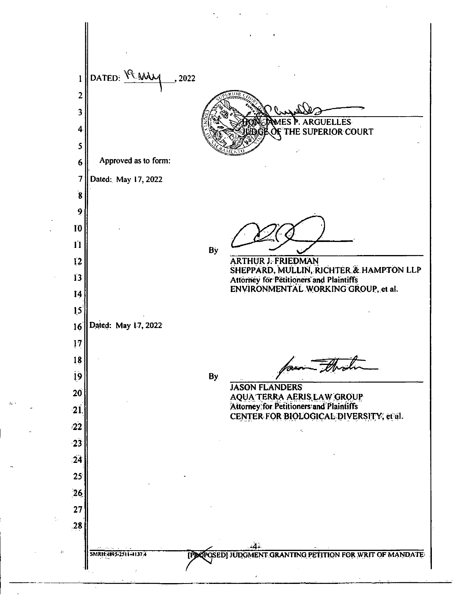DATED:  $M_{M_{1}}$ , 2022 1 2 3 **ES P. ARGUELLES**  4 **THE SUPERIOR COURT** 5 **Approved as to form:**  6 7 **Dated: May 17,2022**  8 9 10 11 **By**  12 **ARTHUR J; FRIEDMAN SHEPPARD, MULLIN, RICHTER & HAMPTON LLP**  13 **Attorney for Petitioners and Plaintiffs**  ENVIRONMENTAL WORKING GROUP, et al. 14 15 **Dated: May 17, 2022**  16 17 IS 19 **By JASON FLANDERS**  20 **AQUA TERRA AERIS.LAW GROUP Attorney for Petitioners and Plaintiffs** 21 **CENTER FOR BIOLOGICAL DIVERSITY, et al.** 22 23  $-24$  $25<sup>°</sup>$ 26. 27 28 **SMRH:4895-2SIL=1137.4 EDDERGSED] JUDGMENT GRANTING PETITION FOR WRIT OF MANDATE:**  $\hat{\pmb{\lambda}}$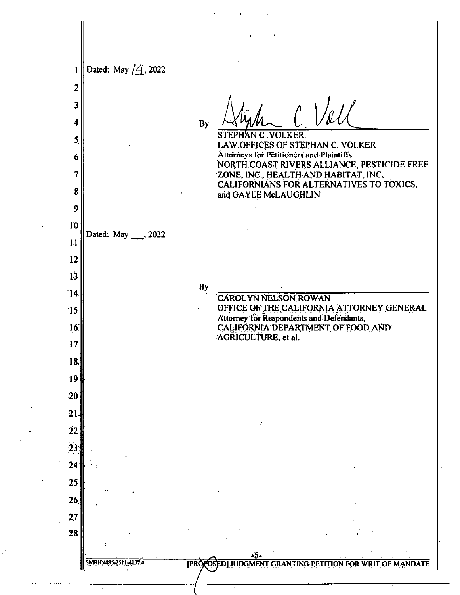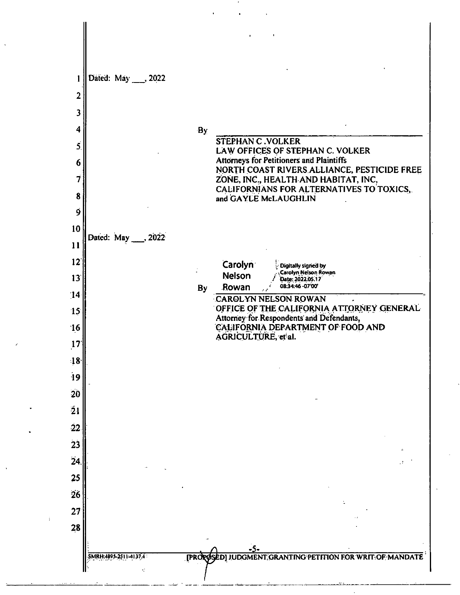